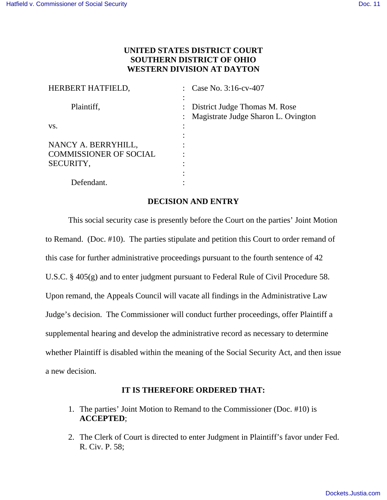## **UNITED STATES DISTRICT COURT SOUTHERN DISTRICT OF OHIO WESTERN DIVISION AT DAYTON**

| HERBERT HATFIELD,                                                 | : Case No. 3:16-cv-407                                                                              |
|-------------------------------------------------------------------|-----------------------------------------------------------------------------------------------------|
| Plaintiff,                                                        | : District Judge Thomas M. Rose<br>Magistrate Judge Sharon L. Ovington<br>$\mathbb{R}^{\mathbb{Z}}$ |
| VS.                                                               |                                                                                                     |
| NANCY A. BERRYHILL,<br><b>COMMISSIONER OF SOCIAL</b><br>SECURITY, |                                                                                                     |
| Defendant.                                                        |                                                                                                     |

## **DECISION AND ENTRY**

 This social security case is presently before the Court on the parties' Joint Motion to Remand. (Doc. #10). The parties stipulate and petition this Court to order remand of this case for further administrative proceedings pursuant to the fourth sentence of 42 U.S.C. § 405(g) and to enter judgment pursuant to Federal Rule of Civil Procedure 58. Upon remand, the Appeals Council will vacate all findings in the Administrative Law Judge's decision. The Commissioner will conduct further proceedings, offer Plaintiff a supplemental hearing and develop the administrative record as necessary to determine whether Plaintiff is disabled within the meaning of the Social Security Act, and then issue a new decision.

## **IT IS THEREFORE ORDERED THAT:**

- 1. The parties' Joint Motion to Remand to the Commissioner (Doc. #10) is **ACCEPTED**;
- 2. The Clerk of Court is directed to enter Judgment in Plaintiff's favor under Fed. R. Civ. P. 58;